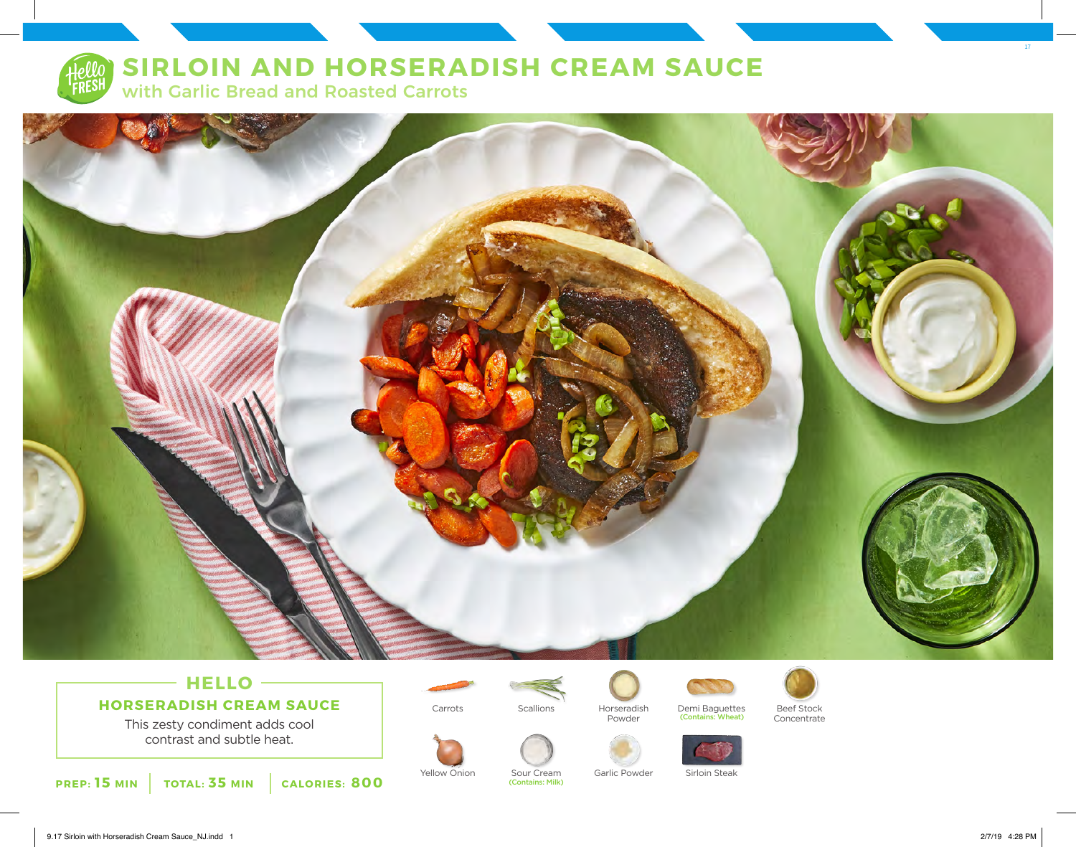# **SIRLOIN AND HORSERADISH CREAM SAUCE**

with Garlic Bread and Roasted Carrots



### $-$  HELLO  $-$ **HORSERADISH CREAM SAUCE**

This zesty condiment adds cool contrast and subtle heat.







(Contains: Milk)





(Contains: Wheat)



Concentrate



Yellow Onion Sour Cream Garlic Powder Sirloin Steak



17